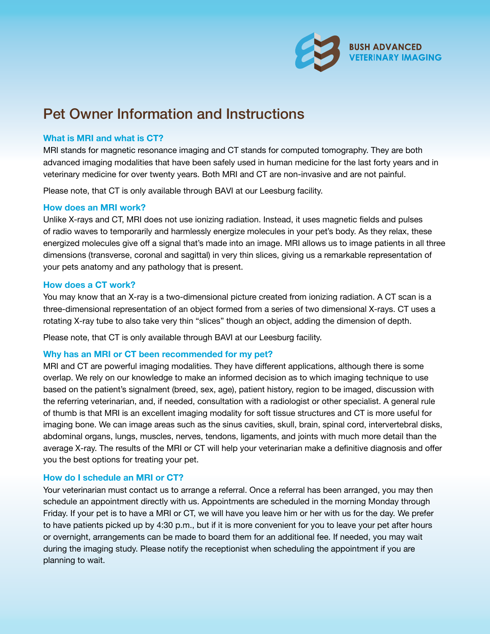

# Pet Owner Information and Instructions

# **What is MRI and what is CT?**

MRI stands for magnetic resonance imaging and CT stands for computed tomography. They are both advanced imaging modalities that have been safely used in human medicine for the last forty years and in veterinary medicine for over twenty years. Both MRI and CT are non-invasive and are not painful.

Please note, that CT is only available through BAVI at our Leesburg facility.

# **How does an MRI work?**

Unlike X-rays and CT, MRI does not use ionizing radiation. Instead, it uses magnetic fields and pulses of radio waves to temporarily and harmlessly energize molecules in your pet's body. As they relax, these energized molecules give off a signal that's made into an image. MRI allows us to image patients in all three dimensions (transverse, coronal and sagittal) in very thin slices, giving us a remarkable representation of your pets anatomy and any pathology that is present.

# **How does a CT work?**

You may know that an X-ray is a two-dimensional picture created from ionizing radiation. A CT scan is a three-dimensional representation of an object formed from a series of two dimensional X-rays. CT uses a rotating X-ray tube to also take very thin "slices" though an object, adding the dimension of depth.

Please note, that CT is only available through BAVI at our Leesburg facility.

# **Why has an MRI or CT been recommended for my pet?**

MRI and CT are powerful imaging modalities. They have different applications, although there is some overlap. We rely on our knowledge to make an informed decision as to which imaging technique to use based on the patient's signalment (breed, sex, age), patient history, region to be imaged, discussion with the referring veterinarian, and, if needed, consultation with a radiologist or other specialist. A general rule of thumb is that MRI is an excellent imaging modality for soft tissue structures and CT is more useful for imaging bone. We can image areas such as the sinus cavities, skull, brain, spinal cord, intervertebral disks, abdominal organs, lungs, muscles, nerves, tendons, ligaments, and joints with much more detail than the average X-ray. The results of the MRI or CT will help your veterinarian make a definitive diagnosis and offer you the best options for treating your pet.

# **How do I schedule an MRI or CT?**

Your veterinarian must contact us to arrange a referral. Once a referral has been arranged, you may then schedule an appointment directly with us. Appointments are scheduled in the morning Monday through Friday. If your pet is to have a MRI or CT, we will have you leave him or her with us for the day. We prefer to have patients picked up by 4:30 p.m., but if it is more convenient for you to leave your pet after hours or overnight, arrangements can be made to board them for an additional fee. If needed, you may wait during the imaging study. Please notify the receptionist when scheduling the appointment if you are planning to wait.